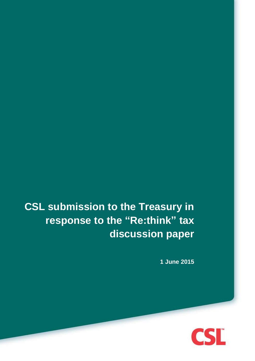# **CSL submission to the Treasury in response to the "Re:think" tax discussion paper**

**1 June 2015**

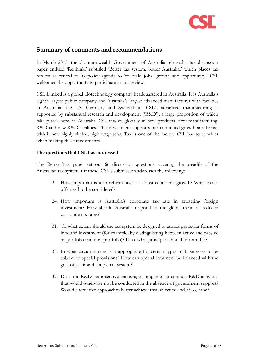

### <span id="page-1-0"></span>**Summary of comments and recommendations**

In March 2015, the Commonwealth Government of Australia released a tax discussion paper entitled 'Re:think,' subtitled 'Better tax system, better Australia,' which places tax reform as central to its policy agenda to 'to build jobs, growth and opportunity.' CSL welcomes the opportunity to participate in this review.

CSL Limited is a global biotechnology company headquartered in Australia. It is Australia's eighth largest public company and Australia's largest advanced manufacturer with facilities in Australia, the US, Germany and Switzerland. CSL's advanced manufacturing is supported by substantial research and development ('R&D'), a large proportion of which take places here, in Australia. CSL invests globally in new products, new manufacturing, R&D and new R&D facilities. This investment supports our continued growth and brings with it new highly skilled, high wage jobs. Tax is one of the factors CSL has to consider when making these investments.

#### **The questions that CSL has addressed**

The Better Tax paper set out 66 discussion questions covering the breadth of the Australian tax system. Of these, CSL's submission addresses the following:

- 3. How important is it to reform taxes to boost economic growth? What tradeoffs need to be considered?
- 24. How important is Australia's corporate tax rate in attracting foreign investment? How should Australia respond to the global trend of reduced corporate tax rates?
- 31. To what extent should the tax system be designed to attract particular forms of inbound investment (for example, by distinguishing between active and passive or portfolio and non-portfolio)? If so, what principles should inform this?
- 38. In what circumstances is it appropriate for certain types of businesses to be subject to special provisions? How can special treatment be balanced with the goal of a fair and simple tax system?
- 39. Does the R&D tax incentive encourage companies to conduct R&D activities that would otherwise not be conducted in the absence of government support? Would alternative approaches better achieve this objective and, if so, how?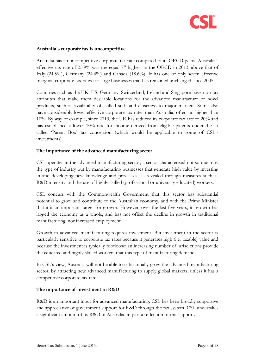

#### **Australia's corporate tax is uncompetitive**

Australia has an uncompetitive corporate tax rate compared to its OECD peers. Australia's effective tax rate of 25.9% was the equal  $7<sup>th</sup>$  highest in the OECD in 2013, above that of Italy (24.5%), Germany (24.4%) and Canada (18.6%). It has one of only seven effective marginal corporate tax rates for large businesses that has remained unchanged since 2005.

Countries such as the UK, US, Germany, Switzerland, Ireland and Singapore have non-tax attributes that make them desirable locations for the advanced manufacture of novel products, such as availability of skilled staff and closeness to major markets. Some also have considerably lower effective corporate tax rates than Australia, often no higher than 10%. By way of example, since 2013, the UK has reduced its corporate tax rate to 20% and has established a lower 10% rate for income derived from eligible patents under the so called 'Patent Box' tax concession (which would be applicable to some of CSL's investments).

#### **The importance of the advanced manufacturing sector**

CSL operates in the advanced manufacturing sector, a sector characterised not so much by the type of industry but by manufacturing businesses that generate high value by investing in and developing new knowledge and processes, as revealed through measures such as R&D intensity and the use of highly skilled (professional or university educated) workers.

CSL concurs with the Commonwealth Government that this sector has substantial potential to grow and contribute to the Australian economy, and with the Prime Minister that it is an important target for growth. However, over the last five years, its growth has lagged the economy as a whole, and has not offset the decline in growth in traditional manufacturing, nor increased employment.

Growth in advanced manufacturing requires investment. But investment in the sector is particularly sensitive to corporate tax rates because it generates high (i.e. taxable) value and because the investment is typically footloose; an increasing number of jurisdictions provide the educated and highly skilled workers that this type of manufacturing demands.

In CSL's view, Australia will not be able to substantially grow the advanced manufacturing sector, by attracting new advanced manufacturing to supply global markets, unless it has a competitive corporate tax rate.

#### **The importance of investment in R&D**

R&D is an important input for advanced manufacturing. CSL has been broadly supportive and appreciative of government support for R&D through the tax system. CSL undertakes a significant amount of its R&D in Australia, in part a reflection of this support.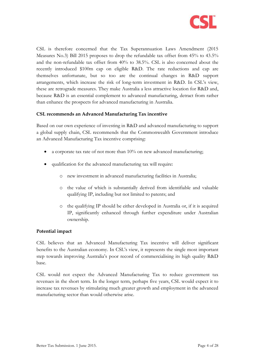

CSL is therefore concerned that the Tax Superannuation Laws Amendment (2015 Measures No.3) Bill 2015 proposes to drop the refundable tax offset from 45% to 43.5% and the non-refundable tax offset from 40% to 38.5%. CSL is also concerned about the recently introduced \$100m cap on eligible R&D. The rate reductions and cap are themselves unfortunate, but so too are the continual changes in R&D support arrangements, which increase the risk of long-term investment in R&D. In CSL's view, these are retrograde measures. They make Australia a less attractive location for R&D and, because R&D is an essential complement to advanced manufacturing, detract from rather than enhance the prospects for advanced manufacturing in Australia.

#### **CSL recommends an Advanced Manufacturing Tax incentive**

Based on our own experience of investing in R&D and advanced manufacturing to support a global supply chain, CSL recommends that the Commonwealth Government introduce an Advanced Manufacturing Tax incentive comprising:

- a corporate tax rate of not more than 10% on new advanced manufacturing;
- qualification for the advanced manufacturing tax will require:
	- o new investment in advanced manufacturing facilities in Australia;
	- o the value of which is substantially derived from identifiable and valuable qualifying IP, including but not limited to patents; and
	- o the qualifying IP should be either developed in Australia or, if it is acquired IP, significantly enhanced through further expenditure under Australian ownership.

#### **Potential impact**

CSL believes that an Advanced Manufacturing Tax incentive will deliver significant benefits to the Australian economy. In CSL's view, it represents the single most important step towards improving Australia's poor record of commercialising its high quality R&D base.

CSL would not expect the Advanced Manufacturing Tax to reduce government tax revenues in the short term. In the longer term, perhaps five years, CSL would expect it to increase tax revenues by stimulating much greater growth and employment in the advanced manufacturing sector than would otherwise arise.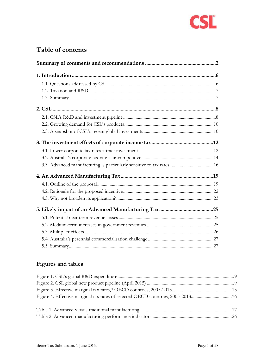

# **Table of contents**

| 3.3. Advanced manufacturing is particularly sensitive to tax rates 16 |  |  |
|-----------------------------------------------------------------------|--|--|
|                                                                       |  |  |
|                                                                       |  |  |
|                                                                       |  |  |
|                                                                       |  |  |
|                                                                       |  |  |
|                                                                       |  |  |
|                                                                       |  |  |
|                                                                       |  |  |
|                                                                       |  |  |
|                                                                       |  |  |

## **Figures and tables**

| Figure 4. Effective marginal tax rates of selected OECD countries, 2005-201316 |  |
|--------------------------------------------------------------------------------|--|
|                                                                                |  |
|                                                                                |  |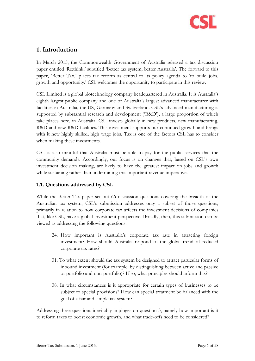

## <span id="page-5-0"></span>**1. Introduction**

In March 2015, the Commonwealth Government of Australia released a tax discussion paper entitled 'Re:think,' subtitled 'Better tax system, better Australia'. The forward to this paper, 'Better Tax,' places tax reform as central to its policy agenda to 'to build jobs, growth and opportunity.' CSL welcomes the opportunity to participate in this review.

CSL Limited is a global biotechnology company headquartered in Australia. It is Australia's eighth largest public company and one of Australia's largest advanced manufacturer with facilities in Australia, the US, Germany and Switzerland. CSL's advanced manufacturing is supported by substantial research and development ('R&D'), a large proportion of which take places here, in Australia. CSL invests globally in new products, new manufacturing, R&D and new R&D facilities. This investment supports our continued growth and brings with it new highly skilled, high wage jobs. Tax is one of the factors CSL has to consider when making these investments.

CSL is also mindful that Australia must be able to pay for the public services that the community demands. Accordingly, our focus is on changes that, based on CSL's own investment decision making, are likely to have the greatest impact on jobs and growth while sustaining rather than undermining this important revenue imperative.

#### <span id="page-5-1"></span>**1.1. Questions addressed by CSL**

While the Better Tax paper set out 66 discussion questions covering the breadth of the Australian tax system, CSL's submission addresses only a subset of those questions, primarily in relation to how corporate tax affects the investment decisions of companies that, like CSL, have a global investment perspective. Broadly, then, this submission can be viewed as addressing the following questions:

- 24. How important is Australia's corporate tax rate in attracting foreign investment? How should Australia respond to the global trend of reduced corporate tax rates?
- 31. To what extent should the tax system be designed to attract particular forms of inbound investment (for example, by distinguishing between active and passive or portfolio and non-portfolio)? If so, what principles should inform this?
- 38. In what circumstances is it appropriate for certain types of businesses to be subject to special provisions? How can special treatment be balanced with the goal of a fair and simple tax system?

Addressing these questions inevitably impinges on question 3, namely how important is it to reform taxes to boost economic growth, and what trade-offs need to be considered?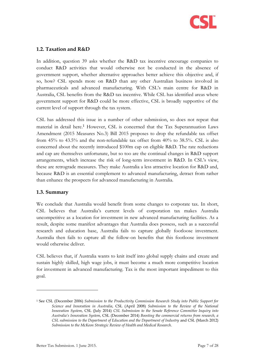

#### <span id="page-6-0"></span>**1.2. Taxation and R&D**

In addition, question 39 asks whether the R&D tax incentive encourage companies to conduct R&D activities that would otherwise not be conducted in the absence of government support, whether alternative approaches better achieve this objective and, if so, how? CSL spends more on R&D than any other Australian business involved in pharmaceuticals and advanced manufacturing. With CSL's main centre for R&D in Australia, CSL benefits from the R&D tax incentive. While CSL has identified areas where government support for R&D could be more effective, CSL is broadly supportive of the current level of support through the tax system.

<span id="page-6-2"></span>CSL has addressed this issue in a number of other submission, so does not repeat that material in detail here. <sup>1</sup> However, CSL is concerned that the Tax Superannuation Laws Amendment (2015 Measures No.3) Bill 2015 proposes to drop the refundable tax offset from 45% to 43.5% and the non-refundable tax offset from 40% to 38.5%. CSL is also concerned about the recently introduced \$100m cap on eligible R&D. The rate reductions and cap are themselves unfortunate, but so too are the continual changes in R&D support arrangements, which increase the risk of long-term investment in R&D. In CSL's view, these are retrograde measures. They make Australia a less attractive location for R&D and, because R&D is an essential complement to advanced manufacturing, detract from rather than enhance the prospects for advanced manufacturing in Australia.

#### <span id="page-6-1"></span>**1.3. Summary**

-

We conclude that Australia would benefit from some changes to corporate tax. In short, CSL believes that Australia's current levels of corporation tax makes Australia uncompetitive as a location for investment in new advanced manufacturing facilities. As a result, despite some manifest advantages that Australia does possess, such as a successful research and education base, Australia fails to capture globally footloose investment. Australia then fails to capture all the follow-on benefits that this footloose investment would otherwise deliver.

CSL believes that, if Australia wants to knit itself into global supply chains and create and sustain highly skilled, high wage jobs, it must become a much more competitive location for investment in advanced manufacturing. Tax is the most important impediment to this goal.

<sup>1</sup> See CSL (December 2006) *Submission to the Productivity Commission Research Study into Public Support for Science and Innovation in Australia*, CSL (April 2008) *Submission to the Review of the National Innovation System*, CSL (July 2014) *CSL Submission to the Senate Reference Committee Inquiry into Australia's Innovation System*, CSL (December 2014) *Boosting the commercial returns from research, a CSL submission to the Department of Education and the Department of Industry* and CSL (March 2012) *Submission to the McKeon Strategic Review of Health and Medical Research*.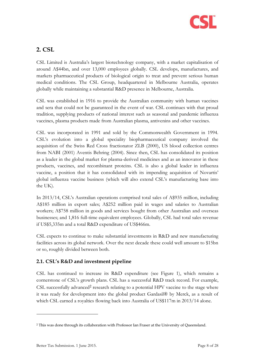

## <span id="page-7-0"></span>**2. CSL**

CSL Limited is Australia's largest biotechnology company, with a market capitalisation of around A\$44bn, and over 13,000 employees globally. CSL develops, manufactures, and markets pharmaceutical products of biological origin to treat and prevent serious human medical conditions. The CSL Group, headquartered in Melbourne Australia, operates globally while maintaining a substantial R&D presence in Melbourne, Australia.

CSL was established in 1916 to provide the Australian community with human vaccines and sera that could not be guaranteed in the event of war. CSL continues with that proud tradition, supplying products of national interest such as seasonal and pandemic influenza vaccines, plasma products made from Australian plasma, antivenins and other vaccines.

CSL was incorporated in 1991 and sold by the Commonwealth Government in 1994. CSL's evolution into a global speciality biopharmaceutical company involved the acquisition of the Swiss Red Cross fractionator ZLB (2000), US blood collection centres from NABI (2001) Aventis Behring (2004). Since then, CSL has consolidated its position as a leader in the global market for plasma-derived medicines and as an innovator in these products, vaccines, and recombinant proteins. CSL is also a global leader in influenza vaccine, a position that it has consolidated with its impending acquisition of Novartis' global influenza vaccine business (which will also extend CSL's manufacturing base into the UK).

In 2013/14, CSL's Australian operations comprised total sales of A\$935 million, including A\$185 million in export sales; A\$252 million paid in wages and salaries to Australian workers; A\$758 million in goods and services bought from other Australian and overseas businesses; and 1,816 full-time equivalent employees. Globally, CSL had total sales revenue if US\$5,335m and a total R&D expenditure of US\$466m.

CSL expects to continue to make substantial investments in R&D and new manufacturing facilities across its global network. Over the next decade these could well amount to \$15bn or so, roughly divided between both.

#### <span id="page-7-1"></span>**2.1. CSL's R&D and investment pipeline**

CSL has continued to increase its R&D expenditure (see [Figure 1\)](#page-8-0), which remains a cornerstone of CSL's growth plans. CSL has a successful R&D track record. For example, CSL successfully advanced<sup>2</sup> research relating to a potential HPV vaccine to the stage where it was ready for development into the global product Gardasil® by Merck, as a result of which CSL earned a royalties flowing back into Australia of US\$117m in 2013/14 alone.

<sup>2</sup> This was done through its collaboration with Professor Ian Fraser at the University of Queensland.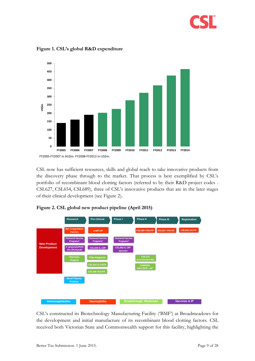



<span id="page-8-0"></span>**Figure 1. CSL's global R&D expenditure**

CSL now has sufficient resources, skills and global reach to take innovative products from the discovery phase through to the market. That process is best exemplified by CSL's portfolio of recombinant blood clotting factors (referred to by their R&D project codes - CSL627, CSL654, CSL689), three of CSL's innovative products that are in the later stages of their clinical development (see [Figure 2\)](#page-8-1).

<span id="page-8-1"></span>



CSL's constructed its Biotechnology Manufacturing Facility ('BMF') at Broadmeadows for the development and initial manufacture of its recombinant blood clotting factors. CSL received both Victorian State and Commonwealth support for this facility, highlighting the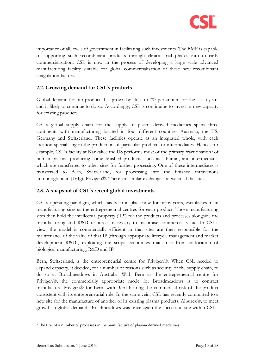

importance of all levels of government in facilitating such investments. The BMF is capable of supporting such recombinant products through clinical trial phases into to early commercialisation. CSL is now in the process of developing a large scale advanced manufacturing facility suitable for global commercialisation of these new recombinant coagulation factors.

#### <span id="page-9-0"></span>**2.2. Growing demand for CSL's products**

Global demand for our products has grown by close to 7% per annum for the last 5 years and is likely to continue to do so. Accordingly, CSL is continuing to invest in new capacity for existing products.

CSL's global supply chain for the supply of plasma-derived medicines spans three continents with manufacturing located in four different countries Australia, the US, Germany and Switzerland. These facilities operate as an integrated whole, with each location specialising in the production of particular products or intermediates. Hence, for example, CSL's facility at Kankakee the US performs most of the primary fractionation<sup>3</sup> of human plasma, producing some finished products, such as albumin, and intermediates which are transferred to other sites for further processing. One of these intermediates is transferred to Bern, Switzerland, for processing into the finished intravenous immunoglobulin (IVIg), Privigen®. There are similar exchanges between all the sites.

#### <span id="page-9-1"></span>**2.3. A snapshot of CSL's recent global investments**

CSL's operating paradigm, which has been in place now for many years, establishes main manufacturing sites as the entrepreneurial centres for each product. Those manufacturing sites then hold the intellectual property ('IP') for the products and processes alongside the manufacturing and R&D resources necessary to maximise commercial value. In CSL's view, the model is commercially efficient in that sites are then responsible for the maintenance of the value of that IP (through appropriate lifecycle management and market development R&D), exploiting the scope economies that arise from co-location of biological manufacturing, R&D and IP.

Bern, Switzerland, is the entrepreneurial centre for Privigen®. When CSL needed to expand capacity, it decided, for a number of reasons such as security of the supply chain, to do so at Broadmeadows in Australia. With Bern as the entrepreneurial centre for Privigen®, the commercially appropriate mode for Broadmeadows is to contract manufacture Privigen® for Bern, with Bern bearing the commercial risk of the product consistent with its entrepreneurial role. In the same vein, CSL has recently committed to a new site for the manufacture of another of its existing plasma products, Alburex®, to meet growth in global demand. Broadmeadows was once again the successful site within CSL's

<sup>&</sup>lt;sup>3</sup> The first of a number of processes in the manufacture of plasma derived medicines.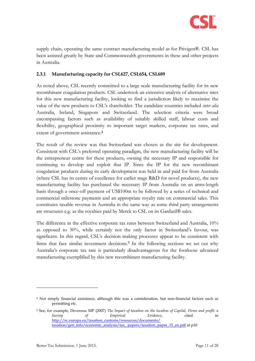

supply chain, operating the same contract manufacturing model as for Privigen®. CSL has been assisted greatly by State and Commonwealth governments in these and other projects in Australia.

#### **2.3.1 Manufacturing capacity for CSL627, CSL654, CSL689**

As noted above, CSL recently committed to a large scale manufacturing facility for its new recombinant coagulation products. CSL undertook an extensive analysis of alternative sites for this new manufacturing facility, looking to find a jurisdiction likely to maximise the value of the new products to CSL's shareholder. The candidate countries included *inter alia* Australia, Ireland, Singapore and Switzerland. The selection criteria were broad encompassing factors such as availability of suitably skilled staff, labour costs and flexibility, geographical proximity to important target markets, corporate tax rates, and extent of government assistance.<sup>4</sup>

The result of the review was that Switzerland was chosen as the site for development. Consistent with CSL's preferred operating paradigm, the new manufacturing facility will be the entrepreneur centre for these products, owning the necessary IP and responsible for continuing to develop and exploit that IP. Since the IP for the new recombinant coagulation products during its early development was held in and paid for from Australia (where CSL has its centre of excellence for earlier stage R&D for novel products), the new manufacturing facility has purchased the necessary IP from Australia on an arms-length basis through a once-off payment of US\$100m to be followed by a series of technical and commercial milestone payments and an appropriate royalty rate on commercial sales. This constitutes taxable revenue in Australia in the same way as some third party arrangements are structures e.g. as the royalties paid by Merck to CSL on its Gardasil® sales.

The difference in the effective corporate tax rates between Switzerland and Australia, 10% as opposed to 30%, while certainly not the only factor in Switzerland's favour, was significant. In this regard, CSL's decision making processes appear to be consistent with firms that face similar investment decisions.<sup>5</sup> In the following sections we set out why Australia's corporate tax rate is particularly disadvantageous for the footloose advanced manufacturing exemplified by this new recombinant manufacturing facility.

<sup>4</sup> Not simply financial assistance, although this was a consideration, but non-financial factors such as permitting etc.

<sup>5</sup> See, for example, Devereux MP (2007) *The Impact of taxation on the location of Capital, Firms and profit: a Survey of Empirical Evidence*, cited in [http://ec.europa.eu/taxation\\_customs/resources/documents/](http://ec.europa.eu/taxation_customs/resources/documents/%20taxation/gen_info/economic_analysis/tax_%20papers/taxation_paper_15_en.pdf)  [taxation/gen\\_info/economic\\_analysis/tax\\_ papers/taxation\\_paper\\_15\\_en.pdf](http://ec.europa.eu/taxation_customs/resources/documents/%20taxation/gen_info/economic_analysis/tax_%20papers/taxation_paper_15_en.pdf) at p10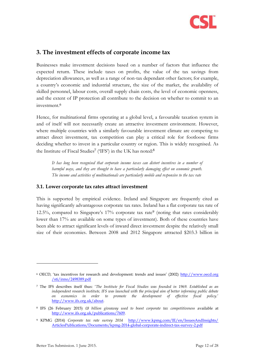

## <span id="page-11-0"></span>**3. The investment effects of corporate income tax**

Businesses make investment decisions based on a number of factors that influence the expected return. These include taxes on profits, the value of the tax savings from depreciation allowances, as well as a range of non-tax dependant other factors; for example, a country's economic and industrial structure, the size of the market, the availability of skilled personnel, labour costs, overall supply chain costs, the level of economic openness, and the extent of IP protection all contribute to the decision on whether to commit to an investment.<sup>6</sup>

Hence, for multinational firms operating at a global level, a favourable taxation system in and of itself will not necessarily create an attractive investment environment. However, where multiple countries with a similarly favourable investment climate are competing to attract direct investment, tax competition can play a critical role for footloose firms deciding whether to invest in a particular country or region. This is widely recognised. As the Institute of Fiscal Studies<sup>7</sup> ('IFS') in the UK has noted:<sup>8</sup>

*It has long been recognised that corporate income taxes can distort incentives in a number of harmful ways, and they are thought to have a particularly damaging effect on economic growth. The income and activities of multinationals are particularly mobile and responsive to the tax rate*

#### <span id="page-11-1"></span>**3.1. Lower corporate tax rates attract investment**

This is supported by empirical evidence. Ireland and Singapore are frequently cited as having significantly advantageous corporate tax rates. Ireland has a flat corporate tax rate of 12.5%, compared to Singapore's  $17\%$  corporate tax rate<sup>9</sup> (noting that rates considerably lower than 17% are available on some types of investment). Both of these countries have been able to attract significant levels of inward direct investment despite the relatively small size of their economies. Between 2008 and 2012 Singapore attracted \$203.3 billion in

<sup>6</sup> OECD, 'tax incentives for research and development: trends and issues' (2002) http://www.oecd.org /sti/inno/2498389.pdf

<sup>7</sup> The IFS describes itself thus: '*The Institute for Fiscal Studies was founded in 1969. Established as an independent research institute, IFS was launched with the principal aim of better informing public debate on economics in order to promote the development of effective fiscal policy.*' [http://www.ifs.org.uk/about.](http://www.ifs.org.uk/about)

<sup>8</sup> IFS (26 February 2015) *£8 billion giveaway used to boost corporate tax competitiveness* available at [http://www.ifs.org.uk/publications/7609.](http://www.ifs.org.uk/publications/7609) 

<sup>9</sup> KPMG (2014) *Corporate tax rate survey 2014* [http://www.kpmg.com/IE/en/IssuesAndInsights/](http://www.kpmg.com/IE/en/IssuesAndInsights/%20ArticlesPublications/Documents/kpmg-2014-global-corporate-indirect-tax-survey-2.pdf)  [ArticlesPublications/Documents/kpmg-2014-global-corporate-indirect-tax-survey-2.pdf](http://www.kpmg.com/IE/en/IssuesAndInsights/%20ArticlesPublications/Documents/kpmg-2014-global-corporate-indirect-tax-survey-2.pdf)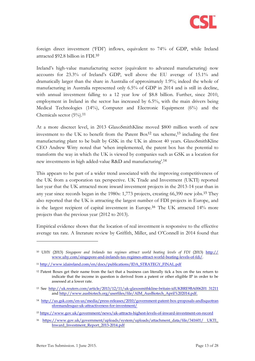

foreign direct investment ('FDI') inflows, equivalent to 74% of GDP, while Ireland attracted \$92.8 billion in FDI.<sup>10</sup>

Ireland's high-value manufacturing sector (equivalent to advanced manufacturing) now accounts for 23.3% of Ireland's GDP, well above the EU average of 15.1% and dramatically larger than the share in Australia of approximately 1.9%; indeed the whole of manufacturing in Australia represented only 6.5% of GDP in 2014 and is still in decline, with annual investment falling to a 12 year low of \$8.8 billion. Further, since 2010, employment in Ireland in the sector has increased by 6.5%, with the main drivers being Medical Technologies (14%), Computer and Electronic Equipment (6%) and the Chemicals sector  $(5\%)$ .<sup>11</sup>

At a more discreet level, in 2013 GlaxoSmithKline moved \$800 million worth of new investment to the UK to benefit from the Patent Box<sup>12</sup> tax scheme,<sup>13</sup> including the first manufacturing plant to be built by GSK in the UK in almost 40 years. GlaxoSmithKline CEO Andrew Witty noted that 'when implemented, the patent box has the potential to transform the way in which the UK is viewed by companies such as GSK as a location for new investments in high added-value R&D and manufacturing'.<sup>14</sup>

This appears to be part of a wider trend associated with the improving competitiveness of the UK from a corporation tax perspective. UK Trade and Investment (UKTI) reported last year that the UK attracted more inward investment projects in the 2013-14 year than in any year since records began in the 1980s: 1,773 projects, creating 66,390 new jobs.<sup>15</sup> They also reported that the UK is attracting the largest number of FDI projects in Europe, and is the largest recipient of capital investment in Europe.<sup>16</sup> The UK attracted 14% more projects than the previous year (2012 to 2013).

Empirical evidence shows that the location of real investment is responsive to the effective average tax rate. A literature review by Griffith, Miller, and O'Connell in 2014 found that

<sup>&</sup>lt;sup>10</sup> UHY (2013) *Singapore and Irelands tax regimes attract world beating levels of FDI* (2013) **http://** www.uhy.com/singapore-and-irelands-tax-regimes-attract-world-beating-levels-of-fdi/.

<sup>11</sup> [http://www.idaireland.com/en/docs/publications/IDA\\_STRATEGY\\_FINAL.pdf](http://www.idaireland.com/en/docs/publications/IDA_STRATEGY_FINAL.pdf)

 $12$  Patent Boxes get their name from the fact that a business can literally tick a box on the tax return to indicate that the income in question is derived from a patent or other eligible IP in order to be assessed at a lower rate.

<sup>13</sup> See [http://uk.reuters.com/article/2013/12/11/uk-glaxosmithkline-britain-idUKBRE9BA006201 31211](http://uk.reuters.com/article/2013/12/11/uk-glaxosmithkline-britain-idUKBRE9BA006201%2031211) an[d http://www.ausbiotech.org/userfiles/file/AIM\\_AusBiotech\\_April%202014.pdf.](http://www.ausbiotech.org/userfiles/file/AIM_AusBiotech_April%202014.pdf)

<sup>14</sup> [http://us.gsk.com/en-us/media/press-releases/2010/government-patent-box-proposals-andlsquotran](http://us.gsk.com/en-us/media/press-releases/2010/government-patent-box-proposals-andlsquotran%20sformandrsquo-uk-attractiveness-for-investment/) [sformandrsquo-uk-attractiveness-for-investment/](http://us.gsk.com/en-us/media/press-releases/2010/government-patent-box-proposals-andlsquotran%20sformandrsquo-uk-attractiveness-for-investment/)

<sup>15</sup> <https://www.gov.uk/government/news/uk-attracts-highest-levels-of-inward-investment-on-record>

<sup>16</sup> [https://www.gov.uk/government/uploads/system/uploads/attachment\\_data/file/341601/ UKTI\\_](https://www.gov.uk/government/uploads/system/uploads/attachment_data/file/341601/%20UKTI_%20Inward_Investment_Report_2013-2014.pdf)  [Inward\\_Investment\\_Report\\_2013-2014.pdf](https://www.gov.uk/government/uploads/system/uploads/attachment_data/file/341601/%20UKTI_%20Inward_Investment_Report_2013-2014.pdf)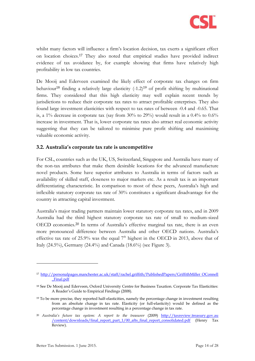

whilst many factors will influence a firm's location decision, tax exerts a significant effect on location choices.<sup>17</sup> They also noted that empirical studies have provided indirect evidence of tax avoidance by, for example showing that firms have relatively high profitability in low tax countries.

<span id="page-13-1"></span>De Mooij and Ederveen examined the likely effect of corporate tax changes on firm behaviour<sup>18</sup> finding a relatively large elasticity  $(-1.2)^{19}$  of profit shifting by multinational firms. They considered that this high elasticity may well explain recent trends by jurisdictions to reduce their corporate tax rates to attract profitable enterprises. They also found large investment elasticities with respect to tax rates of between -0.4 and -0.65. That is, a  $1\%$  decrease in corporate tax (say from  $30\%$  to  $29\%$ ) would result in a  $0.4\%$  to  $0.6\%$ increase in investment. That is, lower corporate tax rates also attract real economic activity suggesting that they can be tailored to minimise pure profit shifting and maximising valuable economic activity.

#### <span id="page-13-0"></span>**3.2. Australia's corporate tax rate is uncompetitive**

For CSL, countries such as the UK, US, Switzerland, Singapore and Australia have many of the non-tax attributes that make them desirable locations for the advanced manufacture novel products. Some have superior attributes to Australia in terms of factors such as availability of skilled staff, closeness to major markets etc. As a result tax is an important differentiating characteristic. In comparison to most of these peers, Australia's high and inflexible statutory corporate tax rate of 30% constitutes a significant disadvantage for the country in attracting capital investment.

Australia's major trading partners maintain lower statutory corporate tax rates, and in 2009 Australia had the third highest statutory corporate tax rate of small to medium-sized OECD economies.<sup>20</sup> In terms of Australia's effective marginal tax rate, there is an even more pronounced difference between Australia and other OECD nations. Australia's effective tax rate of 25.9% was the equal  $7<sup>th</sup>$  highest in the OECD in 2013, above that of Italy (24.5%), Germany (24.4%) and Canada (18.6%) (see [Figure 3\)](#page-14-0).

<sup>17</sup> [http://personalpages.manchester.ac.uk/staff/rachel.griffith/PublishedPapers/GriffithMiller OConnell](http://personalpages.manchester.ac.uk/staff/rachel.griffith/PublishedPapers/GriffithMiller%20OConnell%20_Final.pdf)  [\\_Final.pdf](http://personalpages.manchester.ac.uk/staff/rachel.griffith/PublishedPapers/GriffithMiller%20OConnell%20_Final.pdf)

<sup>18</sup> See De Mooij and Ederveen, Oxford University Centre for Business Taxation. Corporate Tax Elasticities: A Reader's Guide to Empirical Findings (2008).

 $19$  To be more precise, they reported half-elasticities, namely the percentage change in investment resulting from an absolute change in tax rate. Elasticity (or full-elasticity) would be defined as the percentage change in investment resulting in a percentage change in tax rate.

<sup>&</sup>lt;sup>20</sup> Australia's future tax system: A report to the treasurer (2009) http://taxreview.treasury.gov.au /content/downloads/final\_report\_part\_1/00\_afts\_final\_report\_consolidated.pdf (Henry Tax Review).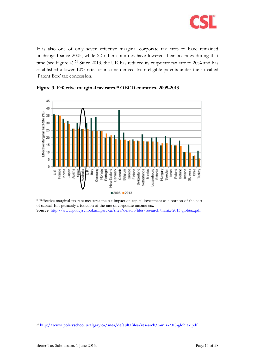

It is also one of only seven effective marginal corporate tax rates to have remained unchanged since 2005, while 22 other countries have lowered their tax rates during that time (see [Figure 4\)](#page-15-1). <sup>21</sup> Since 2013, the UK has reduced its corporate tax rate to 20% and has established a lower 10% rate for income derived from eligible patents under the so called 'Patent Box' tax concession.



#### <span id="page-14-0"></span>**Figure 3. Effective marginal tax rates,\* OECD countries, 2005-2013**

\* Effective marginal tax rate measures the tax impact on capital investment as a portion of the cost of capital. It is primarily a function of the rate of corporate income tax. **Source**:<http://www.policyschool.ucalgary.ca/sites/default/files/research/mintz-2013-globtax.pdf>

<sup>21</sup> <http://www.policyschool.ucalgary.ca/sites/default/files/research/mintz-2013-globtax.pdf>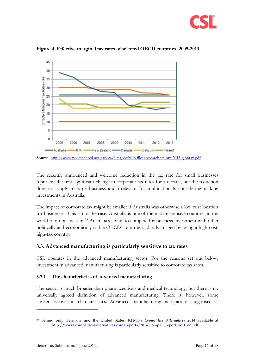



<span id="page-15-1"></span>**Figure 4. Effective marginal tax rates of selected OECD countries, 2005-2013**

The recently announced and welcome reduction in the tax rate for small businesses represent the first significant change in corporate tax rates for a decade, but the reduction does not apply to large business and irrelevant for multinationals considering making investments in Australia.

The impact of corporate tax might be smaller if Australia was otherwise a low cost location for businesses. This is not the case. Australia is one of the most expensive countries in the world to do business in. <sup>22</sup> Australia's ability to compete for business investment with other politically and economically stable OECD countries is disadvantaged by being a high-cost, high-tax country.

#### <span id="page-15-0"></span>**3.3. Advanced manufacturing is particularly sensitive to tax rates**

CSL operates in the advanced manufacturing sector. For the reasons set out below, investment in advanced manufacturing is particularly sensitive to corporate tax rates.

#### <span id="page-15-2"></span>**3.3.1 The characteristics of advanced manufacturing**

The sector is much broader than pharmaceuticals and medical technology, but there is no universally agreed definition of advanced manufacturing. There is, however, some consensus over its characteristics. Advanced manufacturing, is typically categorised as

**Source**:<http://www.policyschool.ucalgary.ca/sites/default/files/research/mintz-2013-globtax.pdf>

<sup>22</sup> Behind only Germany and the United States. KPMG's *Competitive Alternatives 2014* available at [http://www.competitivealternatives.com/reports/2014\\_compalt\\_report\\_vol1\\_en.pdf](http://www.competitivealternatives.com/reports/2014_compalt_report_vol1_en.pdf)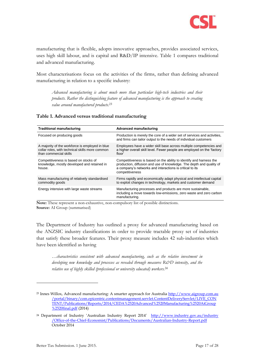

manufacturing that is flexible, adopts innovative approaches, provides associated services, uses high skill labour, and is capital and R&D/IP intensive. [Table 1](#page-16-0) compares traditional and advanced manufacturing.

Most characterisations focus on the activities of the firms, rather than defining advanced manufacturing in relation to a specific industry:

*Advanced manufacturing is about much more than particular high-tech industries and their products. Rather the distinguishing feature of advanced manufacturing is the approach to creating value around manufactured products. 23*

<span id="page-16-0"></span>

| <b>Traditional manufacturing</b>                                                                                             | <b>Advanced manufacturing</b>                                                                                                                                                                                              |
|------------------------------------------------------------------------------------------------------------------------------|----------------------------------------------------------------------------------------------------------------------------------------------------------------------------------------------------------------------------|
| Focused on producing goods                                                                                                   | Production is merely the core of a wider set of services and activities,<br>and firms can tailor output to the needs of individual customers                                                                               |
| A majority of the workforce is employed in blue<br>collar roles, with technical skills more common<br>than commercial skills | Employees have a wider skill base across multiple competencies and<br>a higher overall skill level. Fewer people are employed on the 'factory<br>floor'                                                                    |
| Competitiveness is based on stocks of<br>knowledge, mostly developed and retained in<br>house.                               | Competitiveness is based on the ability to identify and harness the<br>production, diffusion and use of knowledge. The depth and quality of<br>a company's networks and interactions is critical to its<br>competitiveness |
| Mass manufacturing of relatively standardised<br>commodity goods                                                             | Firms rapidly and economically adapt physical and intellectual capital<br>to exploit changes in technology, markets and customer demand                                                                                    |
| Energy intensive with large waste streams                                                                                    | Manufacturing processes and products are more sustainable,<br>including a move towards low-emissions, zero waste and zero carbon<br>manufacturing.                                                                         |

**Note:** These represent a non-exhaustive, non-compulsory list of possible distinctions. **Source:** AI Group (summarised)

The Department of Industry has outlined a proxy for advanced manufacturing based on the ANZSIC industry classifications in order to provide tractable proxy set of industries that satisfy these broader features. Their proxy measure includes 42 sub-industries which have been identified as having

*…characteristics consistent with advanced manufacturing, such as the relative investment in developing new knowledge and processes as revealed through measures R&D intensity, and the relative use of highly skilled (professional or university educated) workers.<sup>24</sup>*

<sup>23</sup> Innes Willox, Advanced manufacturing: A smarter approach for Australia http://www.aigroup.com.au /portal/binary/com.epicentric.contentmanagement.servlet.ContentDeliveryServlet/LIVE\_CON TENT/Publications/Reports/2014/CEDA%2520Advanced%2520Manufacturing%2520AiGroup %2520final.pdf (2014)

<sup>&</sup>lt;sup>24</sup> Department of Industry 'Australian Industry Report 2014' http://www.industry.gov.au/industry [/Office-of-the-Chief-Economist/Publications/Documents/Australian-Industry-Report.pdf](http://www.industry.gov.au/industry%20/Office-of-the-Chief-Economist/Publications/Documents/Australian-Industry-Report.pdf) October 2014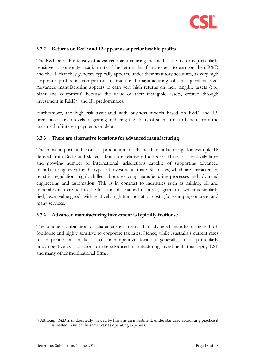

#### **3.3.2 Returns on R&D and IP appear as superior taxable profits**

The R&D and IP intensity of advanced manufacturing means that the sector is particularly sensitive to corporate taxation rates. The return that firms expect to earn on their R&D and the IP that they generate typically appears, under their statutory accounts, as very high corporate profits in comparison to traditional manufacturing of an equivalent size. Advanced manufacturing appears to earn very high returns on their tangible assets (e.g., plant and equipment) because the value of their intangible assets, created through investment in R&D<sup>25</sup> and IP, predominates.

Furthermore, the high risk associated with business models based on R&D and IP, predisposes lower levels of gearing, reducing the ability of such firms to benefit from the tax shield of interest payments on debt.

#### **3.3.3 There are alternative locations for advanced manufacturing**

The most important factors of production in advanced manufacturing, for example IP derived from R&D and skilled labour, are relatively footloose. There is a relatively large and growing number of international jurisdictions capable of supporting advanced manufacturing, even for the types of investments that CSL makes, which are characterised by strict regulation, highly skilled labour, exacting manufacturing processes and advanced engineering and automation. This is in contrast to industries such as mining, oil and mineral which are tied to the location of a natural resource, agriculture which is similarly tied, lower value goods with relatively high transportation costs (for example, concrete) and many services.

#### **3.3.4 Advanced manufacturing investment is typically footloose**

The unique combination of characteristics means that advanced manufacturing is both footloose and highly sensitive to corporate tax rates. Hence, while Australia's current rates of corporate tax make it an uncompetitive location generally, it is particularly uncompetitive as a location for the advanced manufacturing investments that typify CSL and many other multinational firms.

<sup>25</sup> Although R&D is undoubtedly viewed by firms as an investment, under standard accounting practice it is treated in much the same way as operating expenses.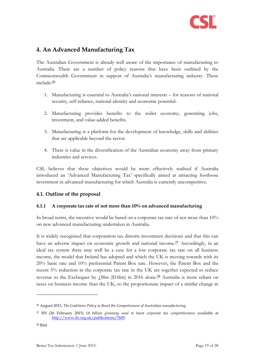

## <span id="page-18-0"></span>**4. An Advanced Manufacturing Tax**

The Australian Government is already well aware of the importance of manufacturing to Australia. There are a number of policy reasons that have been outlined by the Commonwealth Government in support of Australia's manufacturing industry. These include:<sup>26</sup>

- 1. Manufacturing is essential to Australia's national interests for reasons of national security, self-reliance, national identity and economic potential.
- 2. Manufacturing provides benefits to the wider economy, generating jobs, investment, and value-added benefits.
- 3. Manufacturing is a platform for the development of knowledge, skills and abilities that are applicable beyond the sector.
- 4. There is value in the diversification of the Australian economy away from primary industries and services.

CSL believes that these objectives would be more effectively realised if Australia introduced an 'Advanced Manufacturing Tax' specifically aimed at attracting footloose investment in advanced manufacturing for which Australia is currently uncompetitive.

#### <span id="page-18-1"></span>**4.1. Outline of the proposal**

#### **4.1.1 A corporate tax rate of not more than 10% on advanced manufacturing**

In broad terms, the incentive would be based on a corporate tax rate of not more than 10% on new advanced manufacturing undertaken in Australia.

It is widely recognised that corporation tax distorts investment decisions and that this can have an adverse impact on economic growth and national income.<sup>27</sup> Accordingly, in an ideal tax system there may well be a case for a low corporate tax rate on all business income, the model that Ireland has adopted and which the UK is moving towards with its 20% basic rate and 10% preferential Patent Box rate. However, the Patent Box and the recent 5% reduction in the corporate tax rate in the UK are together expected to reduce revenue to the Exchequer by  $\ell$ 8bn (\$16bn) in 2016 alone.<sup>28</sup> Australia is more reliant on taxes on business income than the UK, so the proportionate impact of a similar change in

<sup>26</sup> August 2013, *The Coalitions Policy to Boost the Competiveness of Australian manufacturing.*

<sup>27</sup> IFS (26 February 2015) *£8 billion giveaway used to boost corporate tax competitiveness* available at [http://www.ifs.org.uk/publications/7609.](http://www.ifs.org.uk/publications/7609) 

<sup>28</sup> Ibid.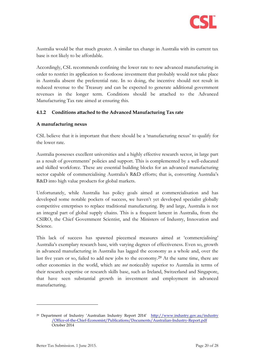

Australia would be that much greater. A similar tax change in Australia with its current tax base is not likely to be affordable.

Accordingly, CSL recommends confining the lower rate to new advanced manufacturing in order to restrict its application to footloose investment that probably would not take place in Australia absent the preferential rate. In so doing, the incentive should not result in reduced revenue to the Treasury and can be expected to generate additional government revenues in the longer term. Conditions should be attached to the Advanced Manufacturing Tax rate aimed at ensuring this.

#### **4.1.2 Conditions attached to the Advanced Manufacturing Tax rate**

#### **A manufacturing nexus**

CSL believe that it is important that there should be a 'manufacturing nexus' to qualify for the lower rate.

Australia possesses excellent universities and a highly effective research sector, in large part as a result of governments' policies and support. This is complemented by a well-educated and skilled workforce. These are essential building blocks for an advanced manufacturing sector capable of commercialising Australia's R&D efforts; that is, converting Australia's R&D into high value products for global markets.

Unfortunately, while Australia has policy goals aimed at commercialisation and has developed some notable pockets of success, we haven't yet developed specialist globally competitive enterprises to replace traditional manufacturing. By and large, Australia is not an integral part of global supply chains. This is a frequent lament in Australia, from the CSIRO, the Chief Government Scientist, and the Ministers of Industry, Innovation and Science.

This lack of success has spawned piecemeal measures aimed at 'commercialising' Australia's exemplary research base, with varying degrees of effectiveness. Even so, growth in advanced manufacturing in Australia has lagged the economy as a whole and, over the last five years or so, failed to add new jobs to the economy.<sup>29</sup> At the same time, there are other economies in the world, which are *not* noticeably superior to Australia in terms of their research expertise or research skills base, such as Ireland, Switzerland and Singapore, that have seen substantial growth in investment and employment in advanced manufacturing.

<sup>&</sup>lt;sup>29</sup> Department of Industry 'Australian Industry Report 2014' http://www.industry.gov.au/industry [/Office-of-the-Chief-Economist/Publications/Documents/Australian-Industry-Report.pdf](http://www.industry.gov.au/industry%20/Office-of-the-Chief-Economist/Publications/Documents/Australian-Industry-Report.pdf) October 2014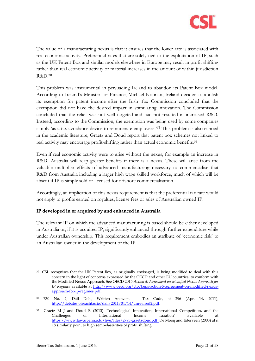

The value of a manufacturing nexus is that it ensures that the lower rate is associated with real economic activity. Preferential rates that are solely tied to the exploitation of IP, such as the UK Patent Box and similar models elsewhere in Europe may result in profit shifting rather than real economic activity or material increases in the amount of within jurisdiction R&D.<sup>30</sup>

This problem was instrumental in persuading Ireland to abandon its Patent Box model. According to Ireland's Minister for Finance, Michael Noonan, Ireland decided to abolish its exemption for patent income after the Irish Tax Commission concluded that the exemption did not have the desired impact in stimulating innovation. The Commission concluded that the relief was not well targeted and had not resulted in increased R&D. Instead, according to the Commission, the exemption was being used by some companies simply 'as a tax avoidance device to remunerate employees.<sup>31</sup> This problem is also echoed in the academic literature; Graetz and Doud report that patent box schemes not linked to real activity may encourage profit-shifting rather than actual economic benefits.<sup>32</sup>

Even if real economic activity were to arise without the nexus, for example an increase in R&D, Australia will reap greater benefits if there is a nexus. These will arise from the valuable multiplier effects of advanced manufacturing necessary to commercialise that R&D from Australia including a larger high wage skilled workforce, much of which will be absent if IP is simply sold or licensed for offshore commercialisation.

Accordingly, an implication of this nexus requirement is that the preferential tax rate would not apply to profits earned on royalties, license fees or sales of Australian owned IP.

#### **IP developed in or acquired by and enhanced in Australia**

The relevant IP on which the advanced manufacturing is based should be either developed in Australia or, if it is acquired IP, significantly enhanced through further expenditure while under Australian ownership. This requirement embodies an attribute of 'economic risk' to an Australian owner in the development of the IP.

<sup>&</sup>lt;sup>30</sup> CSL recognises that the UK Patent Box, as originally envisaged, is being modified to deal with this concern in the light of concerns expressed by the OECD and other EU countries, to conform with the Modified Nexus Approach. See OECD 2015 *Action 5: Agreement on Modified Nexus Approach for IP Regimes* available at [http://www.oecd.org/ctp/beps-action-5-agreement-on-modified-nexus](http://www.oecd.org/ctp/beps-action-5-agreement-on-modified-nexus-approach-for-ip-regimes.pdf)[approach-for-ip-regimes.pdf.](http://www.oecd.org/ctp/beps-action-5-agreement-on-modified-nexus-approach-for-ip-regimes.pdf)

<sup>31</sup> 730 No. 2, Dáil Deb., Written Answers — Tax Code, at 296 (Apr. 14, 2011), [http://debates.oireachtas.ie/dail/2011/04/14/unrevised2.pdf.](http://debates.oireachtas.ie/dail/2011/04/14/unrevised2.pdf)

<sup>&</sup>lt;sup>32</sup> Graetz M J and Doud R (2013) 'Technological Innovation, International Competition, and the Challenges of International Income Taxation' available at [https://www.law.upenn.edu/live/files/2795-graetzdoudpdf.](https://www.law.upenn.edu/live/files/2795-graetzdoudpdf) De Mooij and Ederveen (2008) at n [18](#page-13-1) similarly point to high semi-elasticities of profit shifting.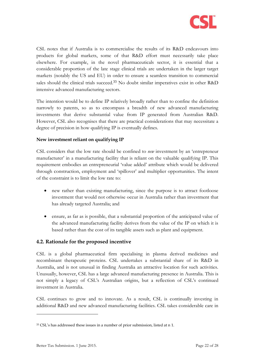

CSL notes that if Australia is to commercialise the results of its R&D endeavours into products for global markets, some of that R&D effort must necessarily take place elsewhere. For example, in the novel pharmaceuticals sector, it is essential that a considerable proportion of the late stage clinical trials are undertaken in the larger target markets (notably the US and EU) in order to ensure a seamless transition to commercial sales should the clinical trials succeed.<sup>33</sup> No doubt similar imperatives exist in other R&D intensive advanced manufacturing sectors.

The intention would be to define IP relatively broadly rather than to confine the definition narrowly to patents, so as to encompass a breadth of new advanced manufacturing investments that derive substantial value from IP generated from Australian R&D. However, CSL also recognises that there are practical considerations that may necessitate a degree of precision in how qualifying IP is eventually defines.

#### **New investment reliant on qualifying IP**

CSL considers that the low rate should be confined to *new* investment by an 'entrepreneur manufacturer' in a manufacturing facility that is reliant on the valuable qualifying IP. This requirement embodies an entrepreneurial 'value added' attribute which would be delivered through construction, employment and 'spillover' and multiplier opportunities. The intent of the constraint is to limit the low rate to:

- new rather than existing manufacturing, since the purpose is to attract footloose investment that would not otherwise occur in Australia rather than investment that has already targeted Australia; and
- ensure, as far as is possible, that a substantial proportion of the anticipated value of the advanced manufacturing facility derives from the value of the IP on which it is based rather than the cost of its tangible assets such as plant and equipment.

#### <span id="page-21-0"></span>**4.2. Rationale for the proposed incentive**

CSL is a global pharmaceutical firm specialising in plasma derived medicines and recombinant therapeutic proteins. CSL undertakes a substantial share of its R&D in Australia, and is not unusual in finding Australia an attractive location for such activities. Unusually, however, CSL has a large advanced manufacturing presence in Australia. This is not simply a legacy of CSL's Australian origins, but a reflection of CSL's continued investment in Australia.

CSL continues to grow and to innovate. As a result, CSL is continually investing in additional R&D and new advanced manufacturing facilities. CSL takes considerable care in

<sup>33</sup> CSL's has addressed these issues in a number of prior submission, listed at n [1.](#page-6-2)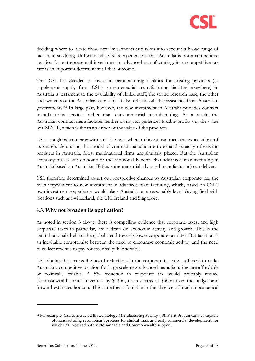

deciding where to locate these new investments and takes into account a broad range of factors in so doing. Unfortunately, CSL's experience is that Australia is not a competitive location for entrepreneurial investment in advanced manufacturing; its uncompetitive tax rate is an important determinant of that outcome.

That CSL has decided to invest in manufacturing facilities for existing products (to supplement supply from CSL's entrepreneurial manufacturing facilities elsewhere) in Australia is testament to the availability of skilled staff, the sound research base, the other endowments of the Australian economy. It also reflects valuable assistance from Australian governments.<sup>34</sup> In large part, however, the new investment in Australia provides contract manufacturing services rather than entrepreneurial manufacturing. As a result, the Australian contract manufacturer neither owns, nor generates taxable profits on, the value of CSL's IP, which is the main driver of the value of the products.

CSL, as a global company with a choice over where to invest, can meet the expectations of its shareholders using this model of contract manufacture to expand capacity of existing products in Australia. Most multinational firms are similarly placed. But the Australian economy misses out on some of the additional benefits that advanced manufacturing in Australia based on Australian IP (i.e. entrepreneurial advanced manufacturing) can deliver.

CSL therefore determined to set out prospective changes to Australian corporate tax, the main impediment to new investment in advanced manufacturing, which, based on CSL's own investment experience, would place Australia on a reasonably level playing field with locations such as Switzerland, the UK, Ireland and Singapore.

#### <span id="page-22-0"></span>**4.3. Why not broaden its application?**

As noted in section [3 above,](#page-11-0) there is compelling evidence that corporate taxes, and high corporate taxes in particular, are a drain on economic activity and growth. This is the central rationale behind the global trend towards lower corporate tax rates. But taxation is an inevitable compromise between the need to encourage economic activity and the need to collect revenue to pay for essential public services.

CSL doubts that across-the-board reductions in the corporate tax rate, sufficient to make Australia a competitive location for large scale new advanced manufacturing, are affordable or politically tenable. A 5% reduction in corporate tax would probably reduce Commonwealth annual revenues by \$13bn, or in excess of \$50bn over the budget and forward estimates horizon. This is neither affordable in the absence of much more radical

<sup>34</sup> For example, CSL constructed Biotechnology Manufacturing Facility ('BMF') at Broadmeadows capable of manufacturing recombinant proteins for clinical trials and early commercial development, for which CSL received both Victorian State and Commonwealth support.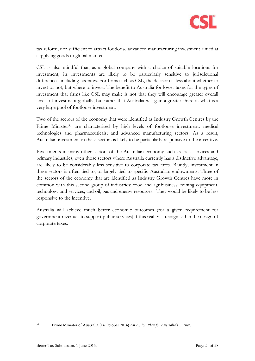

tax reform, nor sufficient to attract footloose advanced manufacturing investment aimed at supplying goods to global markets.

CSL is also mindful that, as a global company with a choice of suitable locations for investment, its investments are likely to be particularly sensitive to jurisdictional differences, including tax rates. For firms such as CSL, the decision is less about whether to invest or not, but where to invest. The benefit to Australia for lower taxes for the types of investment that firms like CSL may make is not that they will encourage greater overall levels of investment globally, but rather that Australia will gain a greater share of what is a very large pool of footloose investment.

Two of the sectors of the economy that were identified as Industry Growth Centres by the Prime Minister<sup>35</sup> are characterised by high levels of footloose investment: medical technologies and pharmaceuticals; and advanced manufacturing sectors. As a result, Australian investment in these sectors is likely to be particularly responsive to the incentive.

Investments in many other sectors of the Australian economy such as local services and primary industries, even those sectors where Australia currently has a distinctive advantage, are likely to be considerably less sensitive to corporate tax rates. Bluntly, investment in these sectors is often tied to, or largely tied to specific Australian endowments. Three of the sectors of the economy that are identified as Industry Growth Centres have more in common with this second group of industries: food and agribusiness; mining equipment, technology and services; and oil, gas and energy resources. They would be likely to be less responsive to the incentive.

Australia will achieve much better economic outcomes (for a given requirement for government revenues to support public services) if this reality is recognised in the design of corporate taxes.

<sup>35</sup> Prime Minister of Australia (14 October 2014) *An Action Plan for Australia's Future*.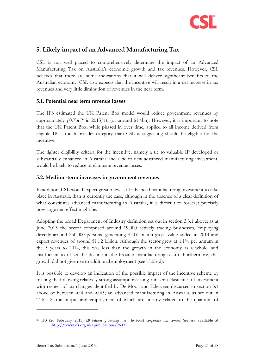

## <span id="page-24-0"></span>**5. Likely impact of an Advanced Manufacturing Tax**

CSL is not well placed to comprehensively determine the impact of an Advanced Manufacturing Tax on Australia's economic growth and tax revenues. However, CSL believes that there are some indications that it will deliver significant benefits to the Australian economy. CSL also expects that the incentive will result in a net increase in tax revenues and very little diminution of revenues in the near term.

#### <span id="page-24-1"></span>**5.1. Potential near term revenue losses**

The IFS estimated the UK Patent Box model would reduce government revenues by approximately  $f(0.7$ bn<sup>36</sup> in 2015/16 (or around \$1.4bn). However, it is important to note that the UK Patent Box, while phased in over time, applied to all income derived from eligible IP, a much broader category than CSL is suggesting should be eligible for the incentive.

The tighter eligibility criteria for the incentive, namely a tie to valuable IP developed or substantially enhanced in Australia and a tie to new advanced manufacturing investment, would be likely to reduce or eliminate revenue losses.

#### <span id="page-24-2"></span>**5.2. Medium-term increases in government revenues**

In addition, CSL would expect greater levels of advanced manufacturing investment to take place in Australia than is currently the case, although in the absence of a clear definition of what constitutes advanced manufacturing in Australia, it is difficult to forecast precisely how large that effect might be.

Adopting the broad Department of Industry definition set out in section [3.3.1](#page-15-2) above; as at June 2013 the sector comprised around 19,000 actively trading businesses, employing directly around 250,000 persons, generating \$30.6 billion gross value added in 2014 and export revenues of around \$11.2 billion. Although the sector grew at 1.1% per annum in the 5 years to 2014, this was less than the growth in the economy as a whole, and insufficient to offset the decline in the broader manufacturing sector. Furthermore, this growth did not give rise to additional employment (see [Table 2\)](#page-25-1).

It is possible to develop an indication of the possible impact of the incentive scheme by making the following relatively strong assumptions: long-run semi-elasticities of investment with respect of tax changes identified by De Mooij and Ederveen discussed in section [3.1](#page-11-1) above of between -0.4 and -0.65; an advanced manufacturing in Australia as set out in [Table 2,](#page-25-1) the output and employment of which are linearly related to the quantum of

<sup>36</sup> IFS (26 February 2015) *£8 billion giveaway used to boost corporate tax competitiveness* available at [http://www.ifs.org.uk/publications/7609.](http://www.ifs.org.uk/publications/7609)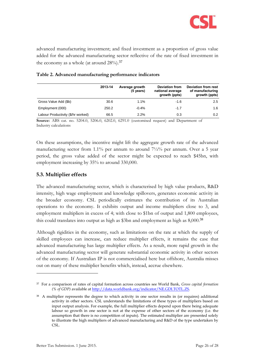

advanced manufacturing investment; and fixed investment as a proportion of gross value added for the advanced manufacturing sector reflective of the rate of fixed investment in the economy as a whole (at around 28%).<sup>37</sup>

|                                    | 2013-14 | Average growth<br>(5 years) | <b>Deviation from</b><br>national average<br>growth (ppts) | <b>Deviation from rest</b><br>of manufacturing<br>growth (ppts) |
|------------------------------------|---------|-----------------------------|------------------------------------------------------------|-----------------------------------------------------------------|
| Gross Value Add (\$b)              | 30.6    | $1.1\%$                     | $-1.6$                                                     | 2.5                                                             |
| Employment (000)                   | 250.2   | $-0.4\%$                    | $-1.7$                                                     | 1.6                                                             |
| Labour Productivity (\$/hr worked) | 66.5    | $2.2\%$                     | 0.3                                                        | 0.2                                                             |

#### <span id="page-25-1"></span>**Table 2. Advanced manufacturing performance indicators**

**Source:** ABS cat. no. 5204.0, 5206.0, 6202.0, 6291.0 (customised request) and Department of Industry calculations

On these assumptions, the incentive might lift the aggregate growth rate of the advanced manufacturing sector from 1.1% per annum to around  $7\frac{1}{2}\%$  per annum. Over a 5 year period, the gross value added of the sector might be expected to reach \$45bn, with employment increasing by 35% to around 330,000.

#### <span id="page-25-0"></span>**5.3. Multiplier effects**

The advanced manufacturing sector, which is characterised by high value products, R&D intensity, high wage employment and knowledge spillovers, generates economic activity in the broader economy. CSL periodically estimates the contribution of its Australian operations to the economy. It exhibits output and income multipliers close to 3, and employment multipliers in excess of 4; with close to \$1bn of output and 1,800 employees, this could translates into output as high as \$3bn and employment as high as 8,000.<sup>38</sup>

Although rigidities in the economy, such as limitations on the rate at which the supply of skilled employees can increase, can reduce multiplier effects, it remains the case that advanced manufacturing has large multiplier effects. As a result, more rapid growth in the advanced manufacturing sector will generate substantial economic activity in other sectors of the economy. If Australian IP is not commercialised here but offshore, Australia misses out on many of these multiplier benefits which, instead, accrue elsewhere.

<sup>37</sup> For a comparison of rates of capital formation across countries see World Bank, *Gross capital formation (% of GDP)* available at [http://data.worldbank.org/indicator/NE.GDI.TOTL.ZS.](http://data.worldbank.org/indicator/NE.GDI.TOTL.ZS) 

<sup>38</sup> A multiplier represents the degree to which activity in one sector results in (or requires) additional activity in other sectors. CSL understands the limitations of these types of multipliers based on input output analysis. For example, the full multiplier effects depend upon there being adequate labour so growth in one sector is not at the expense of other sectors of the economy (i.e. the assumption that there is no competition of inputs). The estimated multiplier are presented solely to illustrate the high multipliers of advanced manufacturing and R&D of the type undertaken by CSL.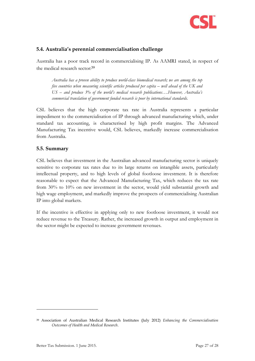

#### <span id="page-26-0"></span>**5.4. Australia's perennial commercialisation challenge**

Australia has a poor track record in commercialising IP. As AAMRI stated, in respect of the medical research sector:<sup>39</sup>

*Australia has a proven ability to produce world-class biomedical research; we are among the top five countries when measuring scientific articles produced per capita – well ahead of the UK and US – and produce 3% of the world's medical research publications….However, Australia's commercial translation of government funded research is poor by international standards.*

CSL believes that the high corporate tax rate in Australia represents a particular impediment to the commercialisation of IP through advanced manufacturing which, under standard tax accounting, is characterised by high profit margins. The Advanced Manufacturing Tax incentive would, CSL believes, markedly increase commercialisation from Australia.

#### <span id="page-26-1"></span>**5.5. Summary**

CSL believes that investment in the Australian advanced manufacturing sector is uniquely sensitive to corporate tax rates due to its large returns on intangible assets, particularly intellectual property, and to high levels of global footloose investment. It is therefore reasonable to expect that the Advanced Manufacturing Tax, which reduces the tax rate from 30% to 10% on new investment in the sector, would yield substantial growth and high wage employment, and markedly improve the prospects of commercialising Australian IP into global markets.

If the incentive is effective in applying only to new footloose investment, it would not reduce revenue to the Treasury. Rather, the increased growth in output and employment in the sector might be expected to increase government revenues.

<sup>39</sup> Association of Australian Medical Research Institutes (July 2012) *Enhancing the Commercialisation Outcomes of Health and Medical Research*.